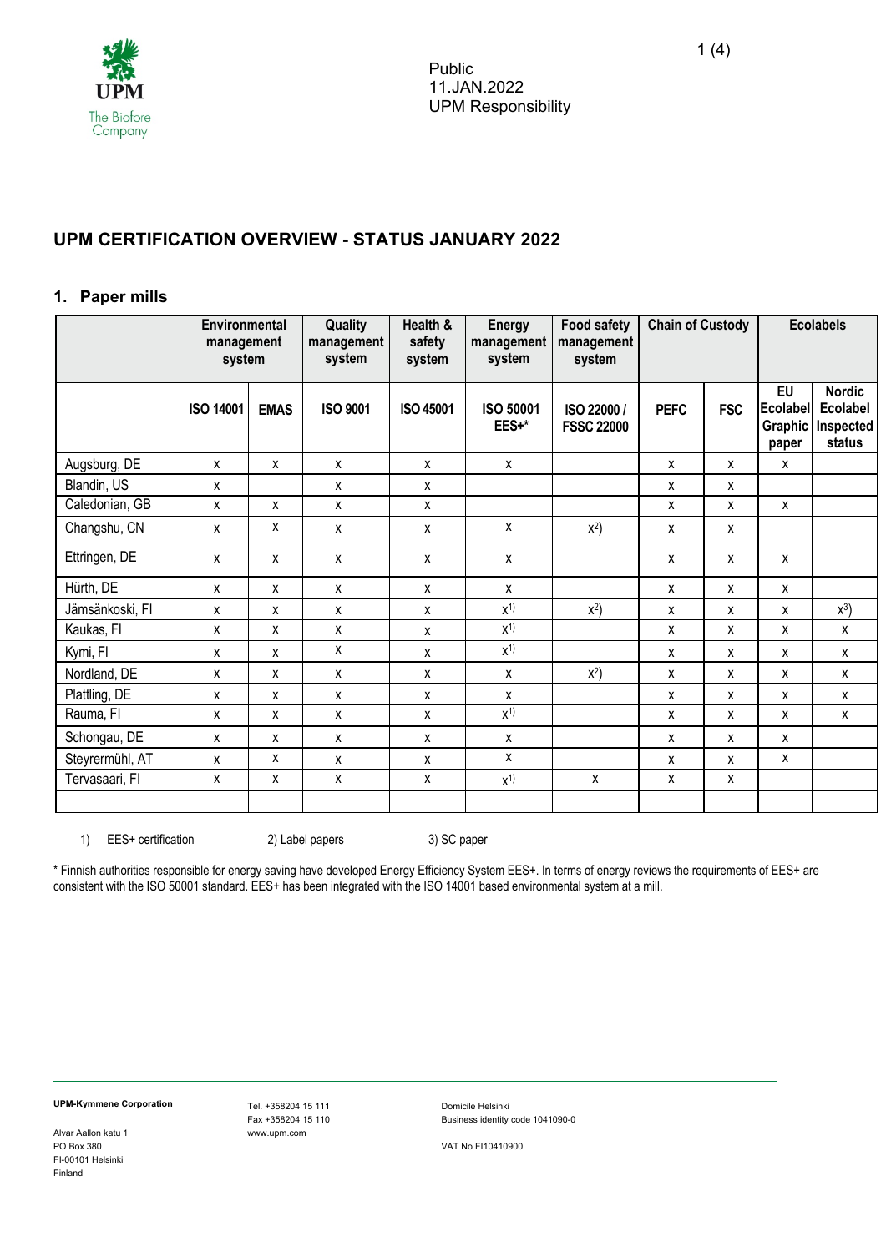

# **UPM CERTIFICATION OVERVIEW - STATUS JANUARY 2022**

#### **1. Paper mills**

|                 | Environmental<br>management<br>system |             | Quality<br>management<br>system | Health &<br>safety<br>system | <b>Energy</b><br>management<br>system | <b>Food safety</b><br>management<br>system | <b>Chain of Custody</b> |            | <b>Ecolabels</b>                                 |                                                  |
|-----------------|---------------------------------------|-------------|---------------------------------|------------------------------|---------------------------------------|--------------------------------------------|-------------------------|------------|--------------------------------------------------|--------------------------------------------------|
|                 | <b>ISO 14001</b>                      | <b>EMAS</b> | <b>ISO 9001</b>                 | <b>ISO 45001</b>             | <b>ISO 50001</b><br>EES+*             | ISO 22000 /<br><b>FSSC 22000</b>           | <b>PEFC</b>             | <b>FSC</b> | <b>EU</b><br>Ecolabel<br><b>Graphic</b><br>paper | <b>Nordic</b><br>Ecolabel<br>Inspected<br>status |
| Augsburg, DE    | X                                     | X           | X                               | X                            | X                                     |                                            | X                       | x          | χ                                                |                                                  |
| Blandin, US     | X                                     |             | X                               | X                            |                                       |                                            | X                       | x          |                                                  |                                                  |
| Caledonian, GB  | X                                     | X           | X                               | X                            |                                       |                                            | X                       | x          | χ                                                |                                                  |
| Changshu, CN    | X                                     | X           | X                               | $\mathsf{x}$                 | X                                     | $x^2$                                      | X                       | X          |                                                  |                                                  |
| Ettringen, DE   | X                                     | X           | x                               | X                            | x                                     |                                            | x                       | Χ          | χ                                                |                                                  |
| Hürth, DE       | X                                     | X           | X                               | X                            | X                                     |                                            | X                       | x          | x                                                |                                                  |
| Jämsänkoski, FI | X                                     | X           | X                               | X                            | $X^{1}$                               | $x^2$                                      | X                       | x          | X                                                | $x^3$                                            |
| Kaukas, FI      | X                                     | X           | X                               | $\mathsf{x}$                 | $x^{1}$                               |                                            | X                       | x          | X                                                | X                                                |
| Kymi, FI        | x                                     | X           | X                               | $\pmb{\chi}$                 | $x^{1}$                               |                                            | X                       | X          | x                                                | $\mathsf{x}$                                     |
| Nordland, DE    | X                                     | X           | X                               | X                            | X                                     | $x^2$                                      | X                       | x          | χ                                                | X                                                |
| Plattling, DE   | X                                     | X           | X                               | X                            | X                                     |                                            | X                       | x          | X                                                | X                                                |
| Rauma, FI       | X                                     | X           | X                               | X                            | $\overline{X}$ <sup>1</sup>           |                                            | X                       | x          | χ                                                | X                                                |
| Schongau, DE    | X                                     | X           | X                               | X                            | X                                     |                                            | X                       | x          | x                                                |                                                  |
| Steyrermühl, AT | X                                     | X           | X                               | X                            | X                                     |                                            | X                       | x          | X                                                |                                                  |
| Tervasaari, FI  | x                                     | X           | X                               | X                            | $x^{1}$                               | X                                          | X                       | x          |                                                  |                                                  |
|                 |                                       |             |                                 |                              |                                       |                                            |                         |            |                                                  |                                                  |

1) EES+ certification 2) Label papers 3) SC paper

\* Finnish authorities responsible for energy saving have developed Energy Efficiency System EES+. In terms of energy reviews the requirements of EES+ are consistent with the ISO 50001 standard. EES+ has been integrated with the ISO 14001 based environmental system at a mill.

Alvar Aallon katu 1 www.upm.com FI-00101 Helsinki Finland

**UPM-Kymmene Corporation**<br>
Fax +358204 15 110 Domicile Helsinki<br>
Fax +358204 15 110 Business identity

Business identity code 1041090-0

VAT No FI10410900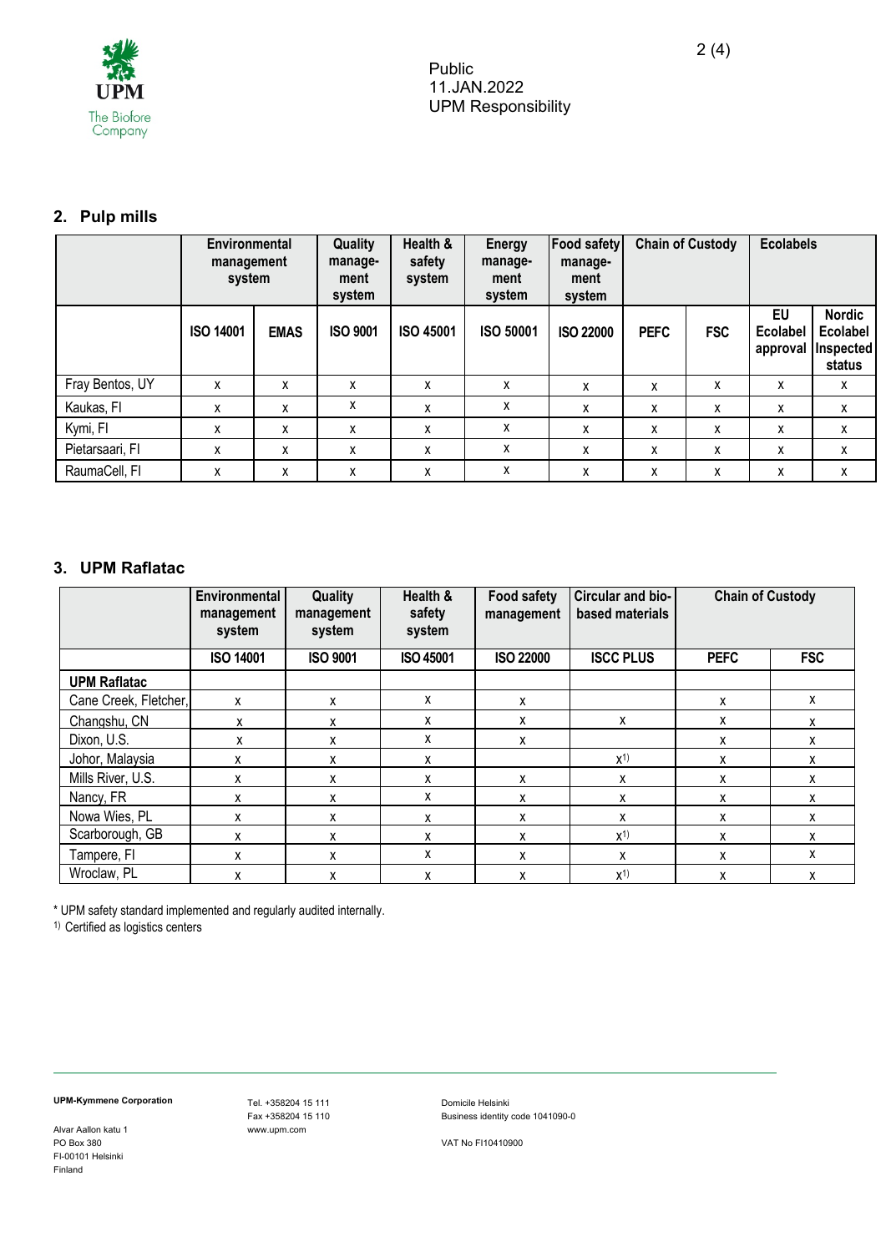

# **2. Pulp mills**

|                 | Environmental<br>management<br>system |             | Quality<br>manage-<br>ment<br>system | Health &<br>safety<br>system | Energy<br>manage-<br>ment<br>system | <b>Food safety</b><br>manage-<br>ment<br>system |             | <b>Chain of Custody</b> |                                   | <b>Ecolabels</b>                                 |
|-----------------|---------------------------------------|-------------|--------------------------------------|------------------------------|-------------------------------------|-------------------------------------------------|-------------|-------------------------|-----------------------------------|--------------------------------------------------|
|                 | <b>ISO 14001</b>                      | <b>EMAS</b> | <b>ISO 9001</b>                      | <b>ISO 45001</b>             | <b>ISO 50001</b>                    | <b>ISO 22000</b>                                | <b>PEFC</b> | <b>FSC</b>              | EU<br><b>Ecolabel</b><br>approval | <b>Nordic</b><br>Ecolabel<br>Inspected<br>status |
| Fray Bentos, UY | X                                     | x           | x                                    | X                            | X                                   | X                                               | X           | X                       | x                                 | X                                                |
| Kaukas, FI      | X                                     | x           | x                                    | x                            | x                                   | X                                               | X           | X                       | x                                 | $\mathsf{x}$                                     |
| Kymi, FI        | X                                     | x           | x                                    | X                            | x                                   | X                                               | X           | X                       | x                                 | X                                                |
| Pietarsaari, Fl | X                                     | x           | x                                    | x                            | X                                   | x                                               | X           | X                       | x                                 | $\mathsf{x}$                                     |
| RaumaCell, FI   | x                                     | x           | x                                    | x                            | x                                   | x                                               | x           | X                       | x                                 | x                                                |

## **3. UPM Raflatac**

|                       | <b>Environmental</b><br>management<br>system | Quality<br>management<br>system | Health &<br>safety<br>system | <b>Food safety</b><br>management | Circular and bio-<br>based materials | <b>Chain of Custody</b> |            |
|-----------------------|----------------------------------------------|---------------------------------|------------------------------|----------------------------------|--------------------------------------|-------------------------|------------|
|                       | <b>ISO 14001</b>                             | <b>ISO 9001</b>                 | <b>ISO 45001</b>             | <b>ISO 22000</b>                 | <b>ISCC PLUS</b>                     | <b>PEFC</b>             | <b>FSC</b> |
| <b>UPM Raflatac</b>   |                                              |                                 |                              |                                  |                                      |                         |            |
| Cane Creek, Fletcher, | x                                            | X                               | x                            | x                                |                                      | X                       | X          |
| Changshu, CN          | x                                            | X                               | x                            | x                                | x                                    | x                       | X          |
| Dixon, U.S.           | x                                            | x                               | X                            | x                                |                                      | X                       | X          |
| Johor, Malaysia       | x                                            | x                               | х                            |                                  | $X^{1}$                              | X                       | x          |
| Mills River, U.S.     | x                                            | X                               | X                            | x                                | x                                    | X                       | X          |
| Nancy, FR             | x                                            | x                               | x                            | X                                | x                                    | X                       | x          |
| Nowa Wies, PL         | x                                            | X                               | X                            | x                                | x                                    | x                       | x          |
| Scarborough, GB       | x                                            | X                               | x                            | X                                | $X^{1}$                              | X                       | X          |
| Tampere, FI           | x                                            | X                               | X                            | X                                | x                                    | x                       | X          |
| Wroclaw, PL           | x                                            | x                               | x                            | X                                | $X^{1}$                              | X                       | x          |

\* UPM safety standard implemented and regularly audited internally.

<sup>1)</sup> Certified as logistics centers

Alvar Aallon katu 1 FI-00101 Helsinki Finland

**UPM-Kymmene Corporation**<br>
Fax +358204 15 110 Domicile Helsinki<br>
Fax +358204 15 110 Business identity Fax +358204 15 110 Business identity code 1041090-0

PO Box 380 VAT No FI10410900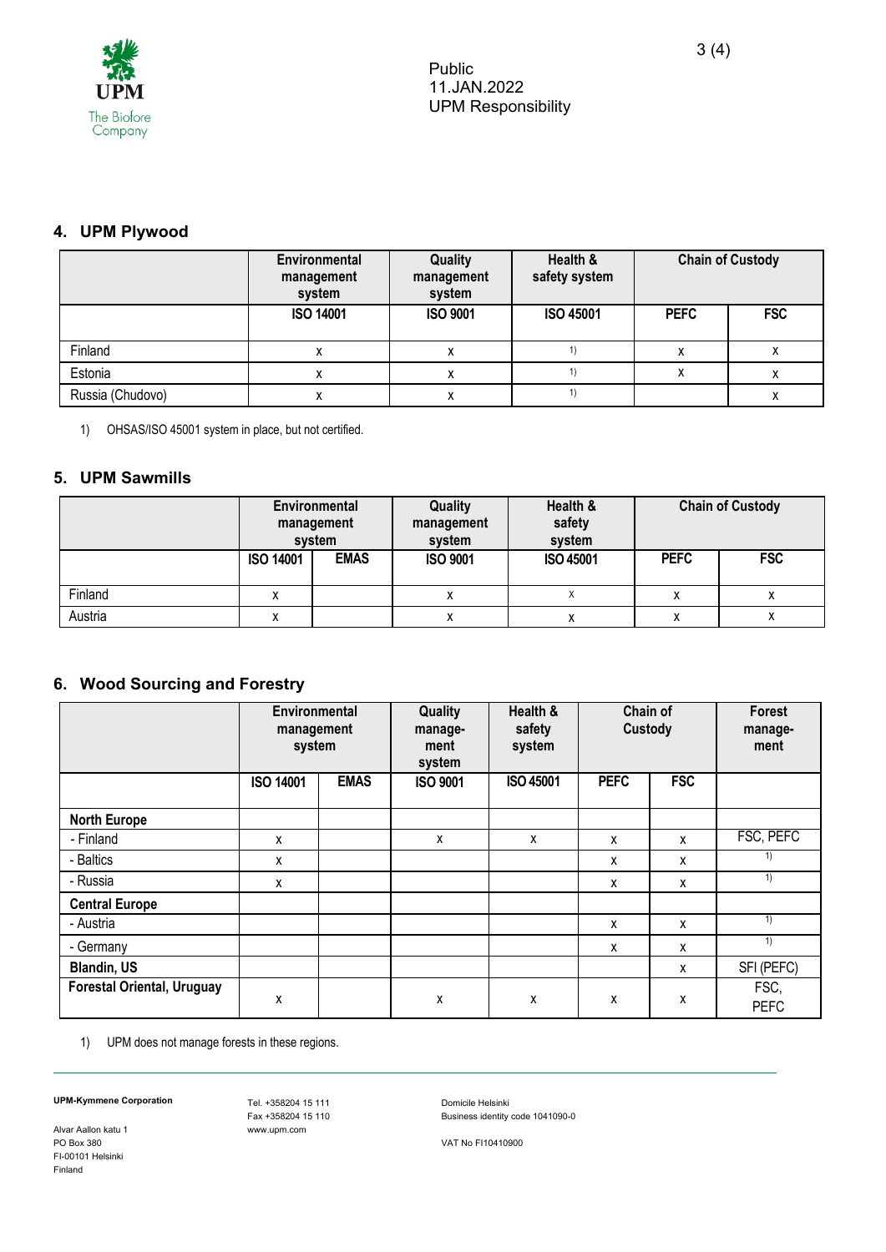

## **4. UPM Plywood**

|                  | Environmental<br>management<br>system | Quality<br>management<br>system | Health &<br>safety system | <b>Chain of Custody</b> |            |  |
|------------------|---------------------------------------|---------------------------------|---------------------------|-------------------------|------------|--|
|                  | <b>ISO 14001</b>                      | <b>ISO 9001</b>                 | <b>ISO 45001</b>          | <b>PEFC</b>             | <b>FSC</b> |  |
| Finland          |                                       | х                               |                           |                         | х          |  |
| Estonia          |                                       |                                 |                           |                         |            |  |
| Russia (Chudovo) |                                       |                                 |                           |                         | х          |  |

1) OHSAS/ISO 45001 system in place, but not certified.

### **5. UPM Sawmills**

|         | <b>Environmental</b><br>management<br>system |             | Quality<br>management<br>system | Health &<br>safety<br>system | <b>Chain of Custody</b> |            |
|---------|----------------------------------------------|-------------|---------------------------------|------------------------------|-------------------------|------------|
|         | <b>ISO 14001</b>                             | <b>EMAS</b> | <b>ISO 9001</b>                 | <b>ISO 45001</b>             | <b>PEFC</b>             | <b>FSC</b> |
| Finland |                                              |             |                                 |                              |                         |            |
| Austria |                                              |             | ́                               |                              | $\lambda$               |            |

## **6. Wood Sourcing and Forestry**

|                                   | Environmental<br>management<br>system |             | Quality<br>manage-<br>ment<br>system | Health &<br>safety<br>system | Chain of<br>Custody |            | <b>Forest</b><br>manage-<br>ment |
|-----------------------------------|---------------------------------------|-------------|--------------------------------------|------------------------------|---------------------|------------|----------------------------------|
|                                   | <b>ISO 14001</b>                      | <b>EMAS</b> | <b>ISO 9001</b>                      | <b>ISO 45001</b>             | <b>PEFC</b>         | <b>FSC</b> |                                  |
| <b>North Europe</b>               |                                       |             |                                      |                              |                     |            |                                  |
| - Finland                         | x                                     |             | X                                    | X                            | x                   | x          | FSC, PEFC                        |
| - Baltics                         | x                                     |             |                                      |                              | X                   | x          | 1)                               |
| - Russia                          | x                                     |             |                                      |                              | x                   | x          | 1)                               |
| <b>Central Europe</b>             |                                       |             |                                      |                              |                     |            |                                  |
| - Austria                         |                                       |             |                                      |                              | X                   | x          | 1)                               |
| - Germany                         |                                       |             |                                      |                              | X                   | x          | 1)                               |
| <b>Blandin, US</b>                |                                       |             |                                      |                              |                     | x          | SFI (PEFC)                       |
| <b>Forestal Oriental, Uruguay</b> | X                                     |             | X                                    | Χ                            | x                   | χ          | FSC,<br><b>PEFC</b>              |

1) UPM does not manage forests in these regions.

Alvar Aallon katu 1 FI-00101 Helsinki Finland

Fax +358204 15 110 Business identity code 1041090-0

**UPM-Kymmene Corporation**<br>
Fax +358204 15 110 Domicile Helsinki<br>
Fax +358204 15 110 Business identity

PO Box 380 VAT No FI10410900